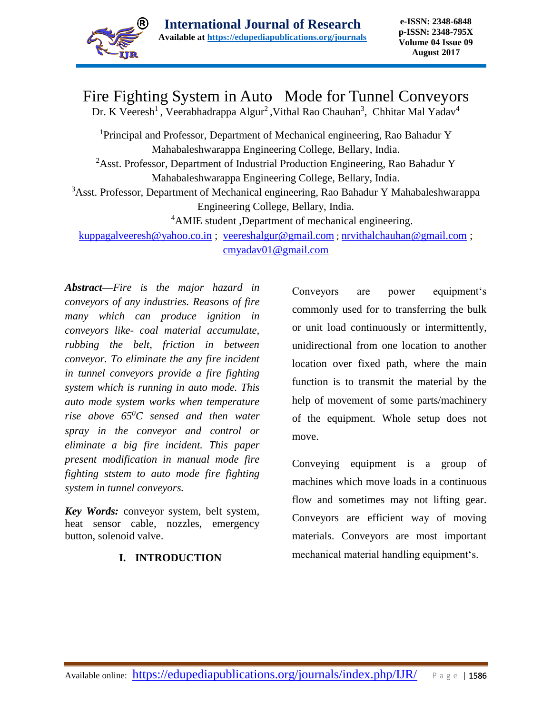

# Fire Fighting System in Auto Mode for Tunnel Conveyors

Dr. K Veeresh<sup>1</sup>, Veerabhadrappa Algur<sup>2</sup>, Vithal Rao Chauhan<sup>3</sup>, Chhitar Mal Yadav<sup>4</sup>

<sup>1</sup>Principal and Professor, Department of Mechanical engineering, Rao Bahadur Y Mahabaleshwarappa Engineering College, Bellary, India. <sup>2</sup>Asst. Professor, Department of Industrial Production Engineering, Rao Bahadur Y Mahabaleshwarappa Engineering College, Bellary, India. <sup>3</sup>Asst. Professor, Department of Mechanical engineering, Rao Bahadur Y Mahabaleshwarappa Engineering College, Bellary, India. <sup>4</sup>AMIE student ,Department of mechanical engineering.

[kuppagalveeresh@yahoo.co.in](mailto:kuppagalveeresh@yahoo.co.in) ; [veereshalgur@gmail.com](mailto:veereshalgur@gmail.com) ; [nrvithalchauhan@gmail.com](mailto:nrvithalchauhan@gmail.com) ; [cmyadav01@gmail.com](mailto:cmyadav01@gmail.com) 

*Abstract***—***Fire is the major hazard in conveyors of any industries. Reasons of fire many which can produce ignition in conveyors like- coal material accumulate, rubbing the belt, friction in between conveyor. To eliminate the any fire incident in tunnel conveyors provide a fire fighting system which is running in auto mode. This auto mode system works when temperature rise above 65<sup>0</sup>C sensed and then water spray in the conveyor and control or eliminate a big fire incident. This paper present modification in manual mode fire fighting ststem to auto mode fire fighting system in tunnel conveyors.*

*Key Words:* conveyor system, belt system, heat sensor cable, nozzles, emergency button, solenoid valve.

# **I. INTRODUCTION**

Conveyors are power equipment's commonly used for to transferring the bulk or unit load continuously or intermittently, unidirectional from one location to another location over fixed path, where the main function is to transmit the material by the help of movement of some parts/machinery of the equipment. Whole setup does not move.

Conveying equipment is a group of machines which move loads in a continuous flow and sometimes may not lifting gear. Conveyors are efficient way of moving materials. Conveyors are most important mechanical material handling equipment's.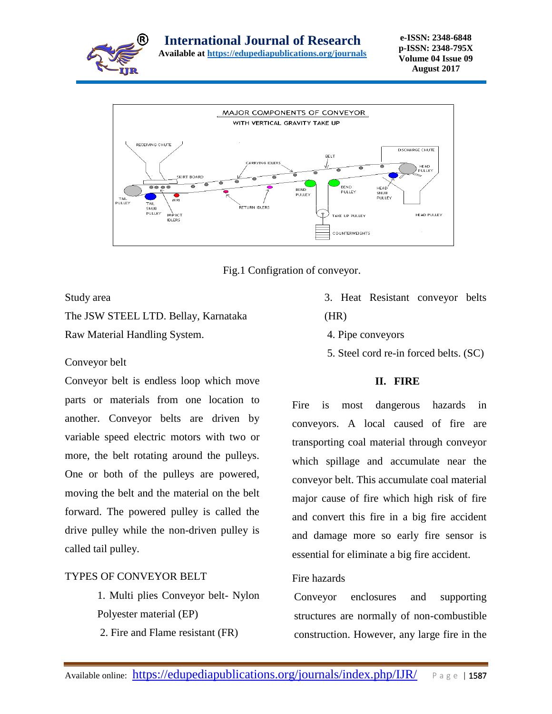



Fig.1 Configration of conveyor.

#### Study area

The JSW STEEL LTD. Bellay, Karnataka Raw Material Handling System.

#### Conveyor belt

Conveyor belt is endless loop which move parts or materials from one location to another. Conveyor belts are driven by variable speed electric motors with two or more, the belt rotating around the pulleys. One or both of the pulleys are powered, moving the belt and the material on the belt forward. The powered pulley is called the drive pulley while the non-driven pulley is called tail pulley.

# TYPES OF CONVEYOR BELT

1. Multi plies Conveyor belt- Nylon Polyester material (EP)

2. Fire and Flame resistant (FR)

- 3. Heat Resistant conveyor belts (HR)
	- 4. Pipe conveyors
	- 5. Steel cord re-in forced belts. (SC)

# **II. FIRE**

Fire is most dangerous hazards in conveyors. A local caused of fire are transporting coal material through conveyor which spillage and accumulate near the conveyor belt. This accumulate coal material major cause of fire which high risk of fire and convert this fire in a big fire accident and damage more so early fire sensor is essential for eliminate a big fire accident.

#### Fire hazards

Conveyor enclosures and supporting structures are normally of non-combustible construction. However, any large fire in the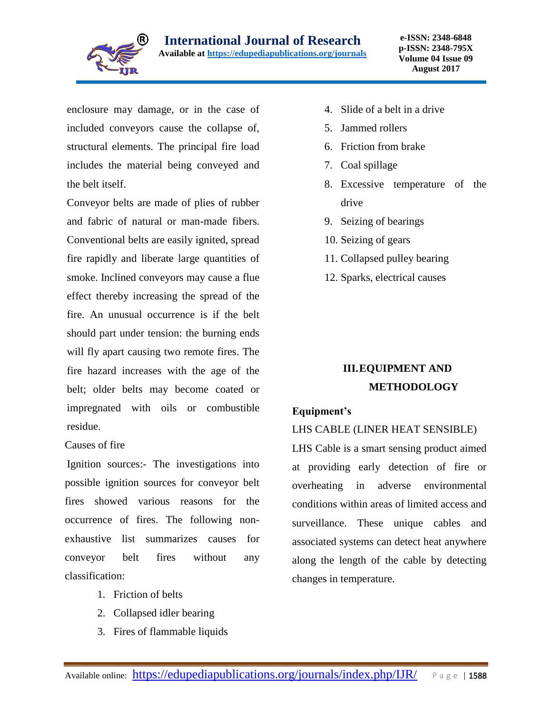

enclosure may damage, or in the case of included conveyors cause the collapse of, structural elements. The principal fire load includes the material being conveyed and the belt itself.

Conveyor belts are made of plies of rubber and fabric of natural or man-made fibers. Conventional belts are easily ignited, spread fire rapidly and liberate large quantities of smoke. Inclined conveyors may cause a flue effect thereby increasing the spread of the fire. An unusual occurrence is if the belt should part under tension: the burning ends will fly apart causing two remote fires. The fire hazard increases with the age of the belt; older belts may become coated or impregnated with oils or combustible residue.

#### Causes of fire

Ignition sources:- The investigations into possible ignition sources for conveyor belt fires showed various reasons for the occurrence of fires. The following nonexhaustive list summarizes causes for conveyor belt fires without any classification:

- 1. Friction of belts
- 2. Collapsed idler bearing
- 3. Fires of flammable liquids
- 4. Slide of a belt in a drive
- 5. Jammed rollers
- 6. Friction from brake
- 7. Coal spillage
- 8. Excessive temperature of the drive
- 9. Seizing of bearings
- 10. Seizing of gears
- 11. Collapsed pulley bearing
- 12. Sparks, electrical causes

# **III.EQUIPMENT AND METHODOLOGY**

#### **Equipment's**

#### LHS CABLE (LINER HEAT SENSIBLE)

LHS Cable is a smart sensing product aimed at providing early detection of fire or overheating in adverse environmental conditions within areas of limited access and surveillance. These unique cables and associated systems can detect heat anywhere along the length of the cable by detecting changes in temperature.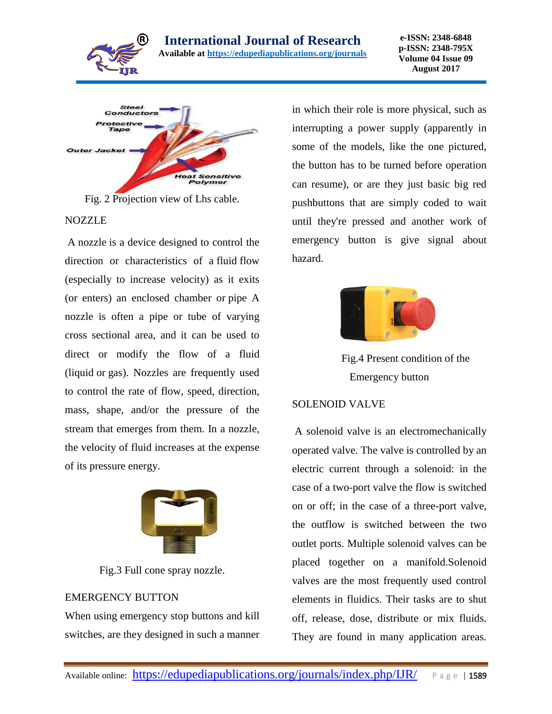





#### **NOZZLE**

A nozzle is a device designed to control the direction or characteristics of a fluid flow (especially to increase velocity) as it exits (or enters) an enclosed chamber or pipe A nozzle is often a pipe or tube of varying cross sectional area, and it can be used to direct or modify the flow of a fluid (liquid or gas). Nozzles are frequently used to control the rate of flow, speed, direction, mass, shape, and/or the pressure of the stream that emerges from them. In a nozzle, the velocity of fluid increases at the expense of its pressure energy.



Fig.3 Full cone spray nozzle.

#### EMERGENCY BUTTON

When using emergency stop buttons and kill switches, are they designed in such a manner

in which their role is more physical, such as interrupting a power supply (apparently in some of the models, like the one pictured, the button has to be turned before operation can resume), or are they just basic big red pushbuttons that are simply coded to wait until they're pressed and another work of emergency button is give signal about hazard.



Fig.4 Present condition of the Emergency button

#### SOLENOID VALVE

A solenoid valve is an electromechanically operated valve. The valve is controlled by an electric current through a solenoid: in the case of a two-port valve the flow is switched on or off; in the case of a three-port valve, the outflow is switched between the two outlet ports. Multiple solenoid valves can be placed together on a manifold.Solenoid valves are the most frequently used control elements in fluidics. Their tasks are to shut off, release, dose, distribute or mix fluids. They are found in many application areas.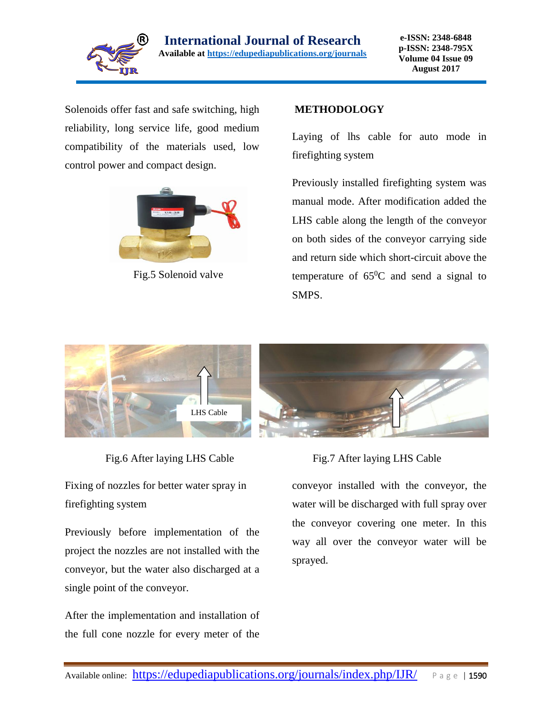

Solenoids offer fast and safe switching, high reliability, long service life, good medium compatibility of the materials used, low control power and compact design.



Fig.5 Solenoid valve

### **METHODOLOGY**

Laying of lhs cable for auto mode in firefighting system

Previously installed firefighting system was manual mode. After modification added the LHS cable along the length of the conveyor on both sides of the conveyor carrying side and return side which short-circuit above the temperature of  $65^{\circ}$ C and send a signal to SMPS.



Fixing of nozzles for better water spray in firefighting system

Previously before implementation of the project the nozzles are not installed with the conveyor, but the water also discharged at a single point of the conveyor.

After the implementation and installation of the full cone nozzle for every meter of the

#### Fig.6 After laying LHS Cable Fig.7 After laying LHS Cable

conveyor installed with the conveyor, the water will be discharged with full spray over the conveyor covering one meter. In this way all over the conveyor water will be sprayed.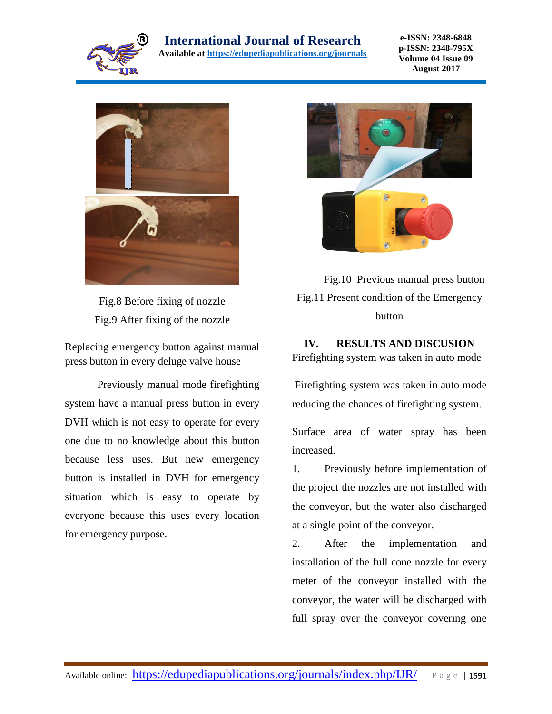

# **International Journal of Research**

**Available at<https://edupediapublications.org/journals>**

**e-ISSN: 2348-6848 p-ISSN: 2348-795X Volume 04 Issue 09 August 2017**



Fig.8 Before fixing of nozzle Fig.9 After fixing of the nozzle

Replacing emergency button against manual press button in every deluge valve house

Previously manual mode firefighting system have a manual press button in every DVH which is not easy to operate for every one due to no knowledge about this button because less uses. But new emergency button is installed in DVH for emergency situation which is easy to operate by everyone because this uses every location for emergency purpose.



 Fig.10 Previous manual press button Fig.11 Present condition of the Emergency button

# **IV. RESULTS AND DISCUSION**

Firefighting system was taken in auto mode

Firefighting system was taken in auto mode reducing the chances of firefighting system.

Surface area of water spray has been increased.

1. Previously before implementation of the project the nozzles are not installed with the conveyor, but the water also discharged at a single point of the conveyor.

2. After the implementation and installation of the full cone nozzle for every meter of the conveyor installed with the conveyor, the water will be discharged with full spray over the conveyor covering one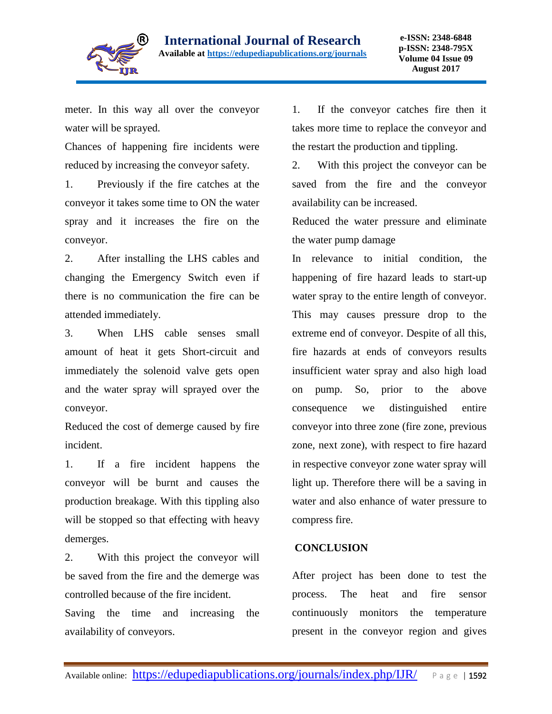

meter. In this way all over the conveyor water will be sprayed.

Chances of happening fire incidents were reduced by increasing the conveyor safety.

1. Previously if the fire catches at the conveyor it takes some time to ON the water spray and it increases the fire on the conveyor.

2. After installing the LHS cables and changing the Emergency Switch even if there is no communication the fire can be attended immediately.

3. When LHS cable senses small amount of heat it gets Short-circuit and immediately the solenoid valve gets open and the water spray will sprayed over the conveyor.

Reduced the cost of demerge caused by fire incident.

1. If a fire incident happens the conveyor will be burnt and causes the production breakage. With this tippling also will be stopped so that effecting with heavy demerges.

2. With this project the conveyor will be saved from the fire and the demerge was controlled because of the fire incident.

Saving the time and increasing the availability of conveyors.

1. If the conveyor catches fire then it takes more time to replace the conveyor and the restart the production and tippling.

2. With this project the conveyor can be saved from the fire and the conveyor availability can be increased.

Reduced the water pressure and eliminate the water pump damage

In relevance to initial condition, the happening of fire hazard leads to start-up water spray to the entire length of conveyor. This may causes pressure drop to the extreme end of conveyor. Despite of all this, fire hazards at ends of conveyors results insufficient water spray and also high load on pump. So, prior to the above consequence we distinguished entire conveyor into three zone (fire zone, previous zone, next zone), with respect to fire hazard in respective conveyor zone water spray will light up. Therefore there will be a saving in water and also enhance of water pressure to compress fire.

# **CONCLUSION**

After project has been done to test the process. The heat and fire sensor continuously monitors the temperature present in the conveyor region and gives